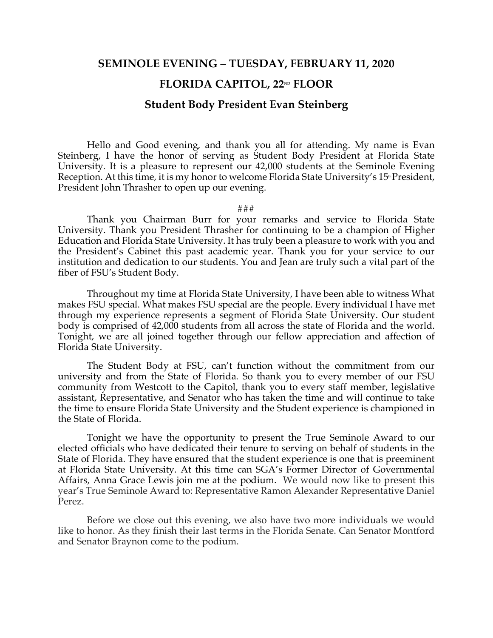## **SEMINOLE EVENING – TUESDAY, FEBRUARY 11, 2020**

## **FLORIDA CAPITOL, 22ND FLOOR**

## **Student Body President Evan Steinberg**

Hello and Good evening, and thank you all for attending. My name is Evan Steinberg, I have the honor of serving as Student Body President at Florida State University. It is a pleasure to represent our 42,000 students at the Seminole Evening Reception. At this time, it is my honor to welcome Florida State University's 15<sup>th</sup> President, President John Thrasher to open up our evening.

## ###

Thank you Chairman Burr for your remarks and service to Florida State University. Thank you President Thrasher for continuing to be a champion of Higher Education and Florida State University. It has truly been a pleasure to work with you and the President's Cabinet this past academic year. Thank you for your service to our institution and dedication to our students. You and Jean are truly such a vital part of the fiber of FSU's Student Body.

Throughout my time at Florida State University, I have been able to witness What makes FSU special. What makes FSU special are the people. Every individual I have met through my experience represents a segment of Florida State University. Our student body is comprised of 42,000 students from all across the state of Florida and the world. Tonight, we are all joined together through our fellow appreciation and affection of Florida State University.

The Student Body at FSU, can't function without the commitment from our university and from the State of Florida. So thank you to every member of our FSU community from Westcott to the Capitol, thank you to every staff member, legislative assistant, Representative, and Senator who has taken the time and will continue to take the time to ensure Florida State University and the Student experience is championed in the State of Florida.

Tonight we have the opportunity to present the True Seminole Award to our elected officials who have dedicated their tenure to serving on behalf of students in the State of Florida. They have ensured that the student experience is one that is preeminent at Florida State University. At this time can SGA's Former Director of Governmental Affairs, Anna Grace Lewis join me at the podium. We would now like to present this year's True Seminole Award to: Representative Ramon Alexander Representative Daniel Perez.

Before we close out this evening, we also have two more individuals we would like to honor. As they finish their last terms in the Florida Senate. Can Senator Montford and Senator Braynon come to the podium.